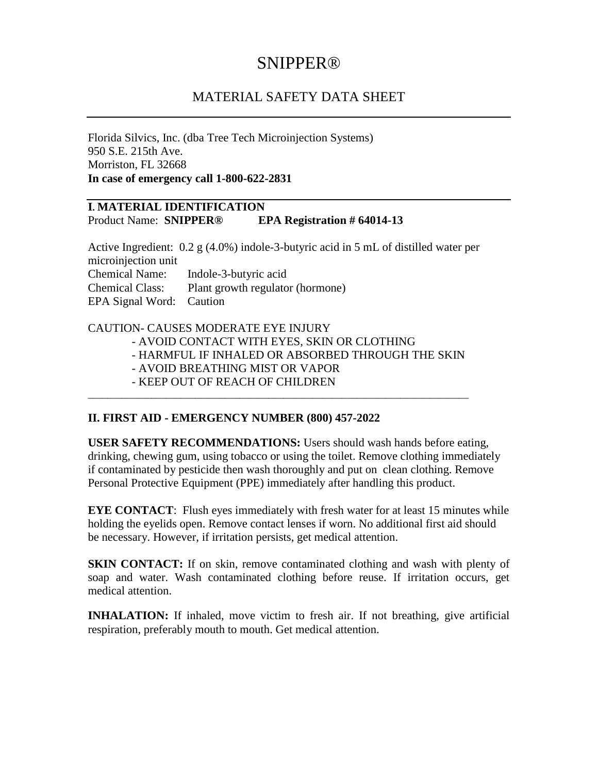# SNIPPER®

## MATERIAL SAFETY DATA SHEET

Florida Silvics, Inc. (dba Tree Tech Microinjection Systems) 950 S.E. 215th Ave. Morriston, FL 32668 **In case of emergency call 1-800-622-2831**

#### **I. MATERIAL IDENTIFICATION** Product Name: **SNIPPER® EPA Registration # 64014-13**

Active Ingredient: 0.2 g (4.0%) indole-3-butyric acid in 5 mL of distilled water per microinjection unit Chemical Name: Indole-3-butyric acid Chemical Class: Plant growth regulator (hormone) EPA Signal Word: Caution

#### CAUTION- CAUSES MODERATE EYE INJURY

- AVOID CONTACT WITH EYES, SKIN OR CLOTHING

\_\_\_\_\_\_\_\_\_\_\_\_\_\_\_\_\_\_\_\_\_\_\_\_\_\_\_\_\_\_\_\_\_\_\_\_\_\_\_\_\_\_\_\_\_\_\_\_\_\_\_\_\_\_\_\_\_\_\_\_\_\_\_\_\_\_\_\_\_\_\_\_\_\_\_\_\_\_

- HARMFUL IF INHALED OR ABSORBED THROUGH THE SKIN

- AVOID BREATHING MIST OR VAPOR
- KEEP OUT OF REACH OF CHILDREN

## **II. FIRST AID - EMERGENCY NUMBER (800) 457-2022**

**USER SAFETY RECOMMENDATIONS:** Users should wash hands before eating, drinking, chewing gum, using tobacco or using the toilet. Remove clothing immediately if contaminated by pesticide then wash thoroughly and put on clean clothing. Remove Personal Protective Equipment (PPE) immediately after handling this product.

**EYE CONTACT:** Flush eyes immediately with fresh water for at least 15 minutes while holding the eyelids open. Remove contact lenses if worn. No additional first aid should be necessary. However, if irritation persists, get medical attention.

**SKIN CONTACT:** If on skin, remove contaminated clothing and wash with plenty of soap and water. Wash contaminated clothing before reuse. If irritation occurs, get medical attention.

**INHALATION:** If inhaled, move victim to fresh air. If not breathing, give artificial respiration, preferably mouth to mouth. Get medical attention.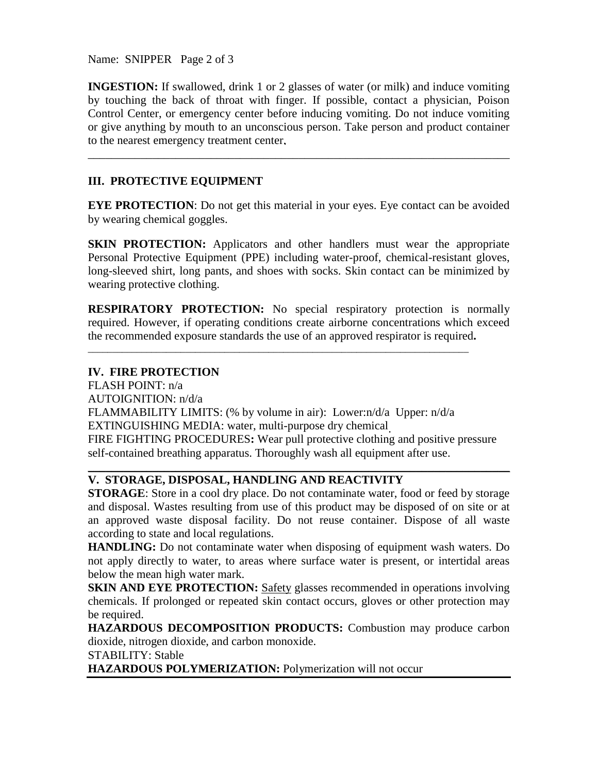Name: SNIPPER Page 2 of 3

**INGESTION:** If swallowed, drink 1 or 2 glasses of water (or milk) and induce vomiting by touching the back of throat with finger. If possible, contact a physician, Poison Control Center, or emergency center before inducing vomiting. Do not induce vomiting or give anything by mouth to an unconscious person. Take person and product container to the nearest emergency treatment center.

\_\_\_\_\_\_\_\_\_\_\_\_\_\_\_\_\_\_\_\_\_\_\_\_\_\_\_\_\_\_\_\_\_\_\_\_\_\_\_\_\_\_\_\_\_\_\_\_\_\_\_\_\_\_\_\_\_\_\_\_\_\_\_\_\_\_\_\_\_\_\_\_

## **III. PROTECTIVE EQUIPMENT**

**EYE PROTECTION:** Do not get this material in your eyes. Eye contact can be avoided by wearing chemical goggles.

**SKIN PROTECTION:** Applicators and other handlers must wear the appropriate Personal Protective Equipment (PPE) including water-proof, chemical-resistant gloves, long-sleeved shirt, long pants, and shoes with socks. Skin contact can be minimized by wearing protective clothing.

**RESPIRATORY PROTECTION:** No special respiratory protection is normally required. However, if operating conditions create airborne concentrations which exceed the recommended exposure standards the use of an approved respirator is required**.**

## **IV. FIRE PROTECTION**

FLASH POINT: n/a AUTOIGNITION: n/d/a FLAMMABILITY LIMITS: (% by volume in air): Lower:n/d/a Upper: n/d/a EXTINGUISHING MEDIA: water, multi-purpose dry chemical. FIRE FIGHTING PROCEDURES**:** Wear pull protective clothing and positive pressure self-contained breathing apparatus. Thoroughly wash all equipment after use.

\_\_\_\_\_\_\_\_\_\_\_\_\_\_\_\_\_\_\_\_\_\_\_\_\_\_\_\_\_\_\_\_\_\_\_\_\_\_\_\_\_\_\_\_\_\_\_\_\_\_\_\_\_\_\_\_\_\_\_\_\_\_\_\_\_\_\_\_\_\_\_\_\_\_\_\_\_\_

## **V. STORAGE, DISPOSAL, HANDLING AND REACTIVITY**

**STORAGE:** Store in a cool dry place. Do not contaminate water, food or feed by storage and disposal. Wastes resulting from use of this product may be disposed of on site or at an approved waste disposal facility. Do not reuse container. Dispose of all waste according to state and local regulations.

\_\_\_\_\_\_\_\_\_\_\_\_\_\_\_\_\_\_\_\_\_\_\_\_\_\_\_\_\_\_\_\_\_\_\_\_\_\_\_\_\_\_\_\_\_\_\_\_\_\_\_\_\_\_\_\_\_\_\_\_\_\_\_\_\_\_\_\_\_\_\_\_

**HANDLING:** Do not contaminate water when disposing of equipment wash waters. Do not apply directly to water, to areas where surface water is present, or intertidal areas below the mean high water mark.

**SKIN AND EYE PROTECTION:** Safety glasses recommended in operations involving chemicals. If prolonged or repeated skin contact occurs, gloves or other protection may be required.

**HAZARDOUS DECOMPOSITION PRODUCTS:** Combustion may produce carbon dioxide, nitrogen dioxide, and carbon monoxide.

STABILITY: Stable

**HAZARDOUS POLYMERIZATION:** Polymerization will not occur